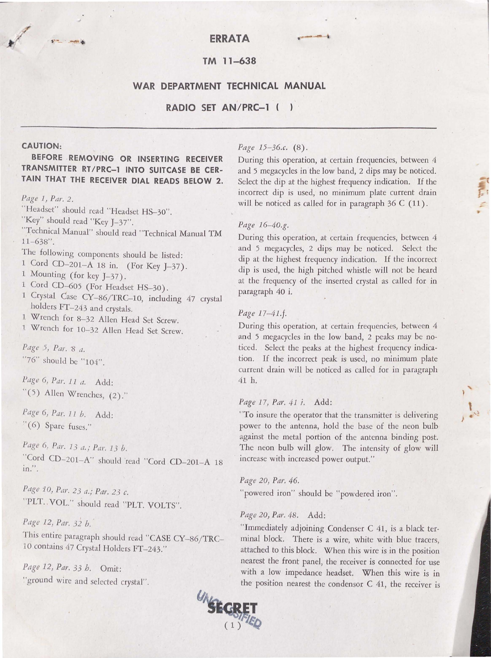# $\sqrt{2\pi}$  ...

# **TM 11-638**

# **WAR DEPARTMENT TECHNICAL MANUAL**

# **RADIO SET AN/PRC-1** (

# **CAUTION:**

# **BEFORE REMOVING OR INSERTING RECEIVER TRANSMITTER RT /PRC-1 INTO SUITCASE BE CER-TAIN THAT THE RECEIVER DIAL READS BELOW 2.**

#### *Page* J, *Par. 2.*

"Headset" should read "Headset HS-30".

"Key" should read "Key J-37".

"Technical Manual" should read "Technical Manual TM 11-638".

The following components should be listed:

- 1 Cord CD-201-A 18 in. (For Key J-37).
- 1 Mounting (for key J-37).
- 1 Cord CD-605 (For Headset HS-30).
- 1 Crystal Case CY-86/TRC-10, including 47 crystal holders FT-243 and crystals.
- 1 Wrench for 8-32 Allen Head Set Screw.
- l Wrench for 10-32 Allen Head Set Screw.

# Page 5, Par. 8 a. "76" should be "104".

*Page 6, Par. 11 a.* Add:  $(5)$  Allen Wrenches,  $(2)$ ."

*Page 6, Par. 11 b.* Add: "(6) Spare fuses."

*Page 6, Par. 13 a.; Par. 13 b.* "Cord CD-201-A" should read "Cord CD-201-A 18 in.".

Page 10, Par. 23 a.; Par. 23 c. "PLT. VOL." should read "PLT. VOLTS".

*Page 12, Par. 32 b. ·* 

This entire paragraph should read "CASE CY-86/TRC-10 contains 47 Crystal Holders FT-243."

*Page 12, Par. 33 h. Omit:*  "ground wire and selected crystal".

# Page 15-36.c. (8).

During this operation, at certain frequencies, between 4 and 5 megacycles in the low band, 2 dips may be noticed. Select the dip at the highest frequency indication. If the incorrect dip *is* used, no minimum plate current drain will be noticed as called for in paragraph 36 C (11).

# *Page 16- 40.g.*

During this operation, at certain frequencies, between 4 and 5 megacycles, 2 dips may be noticed. Select the dip at the highest frequency indication. If the incorrect dip is used, the high pitched whistle will not be heard at the frequency of the inserted crystal as called for in paragraph 40 i.

# *Page 17-4l .f.*

During this operation, at certain frequencies, between 4 and 5 megacycles in the low band, 2 peaks may be noticed. Select the peaks at the highest frequency indication. If the incorrect peak is used, no minimum plate current drain will be noticed as called for in paragraph 41 h.

# *Page 17, Par. 4 1 i.* Add:

''To insure the operator that the transmitter is delivering power to the antenna, hold the base of the neon bulb against the metal portion of the antenna binding post. The neon bulb will glow. The intensity of glow will increase with increased power output."

*Page 20, Par. 46.* 

"powered iron" should be "powdered iron".

# *Page 20, Par.* 48. Add:

"Immediately adjoining Condenser C 41, is a black terminal block. There is a wire, white with blue tracers, attached to this block. When this wire is in the position nearest the front panel, the receiver is connected for use with a low impedance headset. When this wire is in the position nearest the condensor C 41, the receiver is